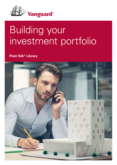

# Building your investment portfolio

**Plain Talk® Library**

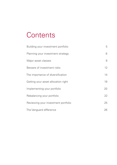## **Contents**

| Building your investment portfolio  |    |  |
|-------------------------------------|----|--|
| Planning your investment strategy   | 6  |  |
| Major asset classes                 | 9  |  |
| Beware of investment risks          | 12 |  |
| The importance of diversification   | 14 |  |
| Getting your asset allocation right | 19 |  |
| Implementing your portfolio         | 20 |  |
| Rebalancing your portfolio          | 22 |  |
| Reviewing your investment portfolio | 25 |  |
| The Vanguard difference             | 26 |  |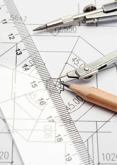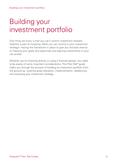## Building your investment portfolio

One thing we know is that you can't control investment markets. Volatility is part of investing. What you can control is your investment strategy—having the framework in place to give you the best chance of meeting your goals and objectives and aligning investments to your risk profile.

Whether you're investing directly or using a financial adviser, you need to be aware of some important considerations. This Plain Talk® guide walks you through the process of building an investment portfolio from the ground up, covering asset allocation, implementation, rebalancing and reviewing your investment strategy.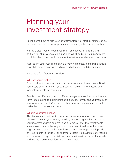## Planning your investment strategy

Taking some time to plan your strategy before you start investing can be the difference between simply aspiring to your goals or achieving them.

Having a clear idea of your investment objectives, timeframe and attitude to risk provides a solid basis on which to build your investment portfolio. The more specific you are, the better your chances of success.

Just like life, your investment plan is a work in progress. It should be flexible enough to cater for changes and market challenges—both big and small.

Here are a few factors to consider:

### Why are you investing?

First, work out what you want to achieve from your investments. Break your goals down into short (1 to 3 years), medium (3 to 5 years) and longer-term goals (5 years plus).

People have different goals at different stages of their lives. Your longerterm focus might be building financial security for you and your family or saving for retirement. While in the shorter-term you may simply want to make the most of your income.

#### What is your time horizon?

Also known as investment timeframe, this refers to how long you are planning to invest your money. It tells you how long you have to realise your investment goals and provides a framework for the investments you choose. Usually the longer your investment timeframe the more aggressive you can be with your investments—although this depends on your tolerance for risk. For short-term goals like buying a car or taking an overseas holiday, lower risk, income type investments, such as cash and money market securities are more suitable.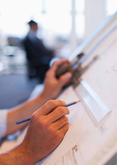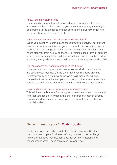#### Know your risk/return profile

Understanding your attitude to risk and return is arguably the most important decision when planning your investment strategy. You might be attracted to the prospect of great performance, but how much risk are you willing to take to achieve it?

#### What are your current circumstances and limitations?

While you might have grand plans for your future lifestyle, your current means may not be sufficient to get you there. It's important to keep a realistic view of your goals while keeping in mind any limitations that might stop you from achieving them. A diversified, long-term investment strategy can certainly help build your wealth and put you on the road to achieving your goals, but you should be realistic about possible shortfalls.

#### Do you expect your needs to change in the future?

You may be expecting to come into a major windfall or a substantial increase in your income. On the other hand you might be planning to start a family or buy a new home which will mean having less disposable income. Whatever your prospects for the future, make sure you take them into account when planning your investment strategy.

#### How much control do you want over your investments?

This will have implications for the types of investments you choose and whether you decide to invest in the share or property market directly. use managed funds or implement your investment strategy through a financial adviser.

### Smart investing tip 1: Watch costs

Costs can take a large chunk out of an investor's return. So, it's important to compare fund fees before you invest. Look at things like brokerage fees, contribution fees, adviser commissions and management costs. These can all add up over time.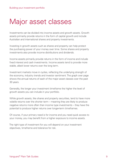## Major asset classes

Investments can be divided into income assets and growth assets. Growth assets primarily provide returns in the form of capital growth and include Australian and international shares and property investments.

Investing in growth assets such as shares and property can help protect the purchasing power of your money over time. Some shares and property investments also provide income distributions and dividends.

Income assets primarily provide returns in the form of income and include fixed interest and cash investments. Income assets tend to provide more stable, albeit lower returns over the long term.

Investment markets move in cycles, reflecting the underlying strength of the economy, industry trends and investor sentiment. The graph over page shows the annual returns of each of the major asset classes over the past 30 years.

Generally, the longer your investment timeframe the higher the level of growth assets you can include in your portfolio.

While growth assets, like shares and property securities, tend to have more volatile returns over the shorter term – meaning they are likely to produce negative returns more often than income type investments – they have the potential to produce higher returns over longer-term timeframes.

Of course, if your primary need is for income and you need quick access to your money, you may benefit from a higher exposure to income assets.

The right type of investment for you will depend on your investment objectives, timeframe and tolerance for risk.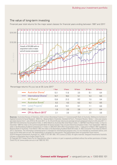### The value of long-term investing

Financial year total returns for the major asset classes for financial years ending between 1987 and 2017.



Percentage returns (% p.a.) as at 30 June 20171

|       |                                               | 1 Year | 5 Years | 10 Years | 20 Years | 30 Years |
|-------|-----------------------------------------------|--------|---------|----------|----------|----------|
|       | Australian Shares <sup>2</sup>                | 13.1   | 11.6    | 3.5      | 8.1      | 8.4      |
|       | International Shares <sup>3</sup>             | 14.7   | 18.2    | 5.1      | 5.3      | 6.5      |
|       | US Shares <sup>4</sup>                        | 13.8   | 21.3    | 8.2      | 7.0      | 9.4      |
|       | Australian Bonds <sup>®</sup>                 | 0.2    | 4.3     | 6.2      | 6.2      | 8.5      |
|       | - Listed Property <sup>6</sup>                | $-6.3$ | 14.1    | 0.1      | 7.1      | 8.0      |
| Cash' |                                               | 1.8    | 2.5     | 3.9      | 4.7      | 6.4      |
|       | $\leftarrow$ CPI (to March 2017) <sup>8</sup> | 2.1    | 2.0     | 2.5      | 2.5      | 3 O      |

**Sources:** Australian Bureau of Statistics, ASX Limited, Bloomberg Finance L.P., Commonwealth Bank of Australia, Melbourne Institute of Applied Economic & Social Research, MSCI Inc., Reserve Bank of Australia, Standard & Poor's, Thompson Reuters. Notes: 1. One-year returns<br>are total returns from 1 July 2016 to 30 June 2017. 5, 10, 20 and 30 year returns ar December 1989 the index is the Commonwealth Bank All Series Greater Than 10 years Bond Accumulation Index. From September 1989 the index is the Bloomberg AusBond Composite 0+ Yr Index. 6. S&P/ASX 200 A-REIT Accumulation Index. 7. Data prior to March 1987 supplied by Reserve Bank of Australia. From March 1987 the index is the Bloomberg AusBond Bank Bill Index. 8. ABS Consumer Price Index (to March 2017). Disclaimer: The information contained herein is intended for informational purposes only. It is not intended as investment advice, and must not be relied upon as such. No responsibility is accepted for informational

©2018 Vanguard Investments Australia Ltd. (ABN 72072881086 / AFS Licence 227263). All rights reserved, Vanguard Investments Australia

Ltd pays a subscription fee to Andex Charts Pty Ltd. © Copyright 2017 Andex Charts Pty Ltd. Reproduction either in whole or in part is expressly prohibited without the written permission of Andex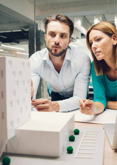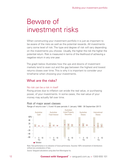## Beware of investment risks

When constructing your investment portfolio it is just as important to be aware of the risks as well as the potential rewards. All investments carry some level of risk. The type and degree of risk will vary depending on the investments you choose. Usually, the higher the risk the higher the potential return. Risk is measured in terms of the likelihood of achieving a negative return in any one year.

The graph below illustrates how the ups and downs of investment markets tend to even out and the gap between the highest and lowest returns closes over time. This is why it is important to consider your timeframe when choosing your investments.

## What are the risks?

### No risk can be a risk in itself

Rising prices due to inflation can erode the real value, or purchasing power, of your investments. In some cases, the real value of your money may actually fall over time.

#### Risk of major asset classes

Range of returns over 1, 5 and 10 year periods (1 January 1990 - 30 September 2017)



Note: Past performance is no indication of future performance. Assumes 100% reinvestment of distributions without any consideration of fees.

Source: Vanguard calculations using data from Morningstar Inc.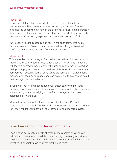#### Market risk

This is the risk that share, property, fixed interest or cash markets will decline in value. The sharemarket is influenced by a number of factors including the underlying strength of the economy, political factors, industry trends and investor sentiment. On the other hand, fixed interest and cash markets are influenced by expectations of interest rates and inflation.

While specific asset classes can be risky in the short term, time has a moderating effect. Market risk can be reduced by holding a diversified portfolio of investments across different asset classes.

#### Manager risk

This is the risk that a managed fund will underperform its benchmark or market index due to poor investment selection. Active fund managers will try to pick stocks they believe will outperform the market based on their philosophy and research. Sometimes this works in their favour and sometimes it doesn't. Some active funds are reliant on individual fund managers for their performance and can be subject to key person risk if that manager decides to leave.

Investing in index funds can reduce your susceptibility to individual manager risk. Because index funds invest in all or most of the securities in an index, you are not relying on the fund manager's investment selection ability and skill.

More information about risks can be found in the fund Product Disclosure Statement (PDS). For further information about risks and how they may impact your portfolio, seek advice from a financial adviser.

### Smart investing tip 2: Invest long term

People often get caught up with short-term stock selection which can deliver inconsistent results. While one stock might deliver great returns one year, it is difficult to pick winning stocks every year. When it comes to investing, it generally pays to invest for the long term.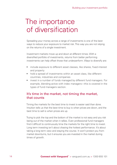## The importance of diversification

Spreading your money across a range of investments is one of the best ways to reduce your exposure to market risk. This way you are not relying on the returns of a single investment.

Investment markets move up and down at different times. With a diversified portfolio of investments, returns from better performing investments can help offset those that underperform. Ways to diversify are:

- include exposure to different asset classes, like shares, fixed interest and property
- hold a spread of investments within an asset class, like different countries, industries and companies
- invest in a number of funds managed by different fund managers. For example, blending active with index managers—this is covered in the types of fund managers section.

## It's time in the market, not timing the market, that counts

Timing the markets for the best time to invest is easier said than done. Intuition tells us that the best time to buy is when prices are down, and the best time to sell is when prices are up.

Trying to pick the top and the bottom of the market is not easy and you risk being out of the market when it rallies. Even professional fund managers find it difficult to continuously time the markets for the right time to invest. Long term investing isn't about chasing the hottest performance. It's about taking a long term view and staying the course. It won't protect you from market downturns, but it ensures you are invested in the market during times of growth.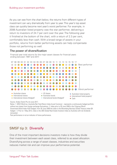As you can see from the chart below, the returns from different types of investment can vary dramatically from year to year. This year's top asset class can quickly become next year's worst performer. For example, in 2006 Australian listed property was the star performer, delivering a return to investors of 24.7 per cent over the year. The following year it finished at the bottom of the chart, with a return of 2.3 per cent comfortably less than cash. With a broad range of assets in your portfolio, returns from better performing assets can help compensate those not performing so well.

### The power of diversification

Financial year total returns for the major asset classes for financial years ending between 1997 and 2017.



Source: Andex Charts Pty Ltd June 2017.

Notes: 1. MSCI World ex–Australia Net Total Return Index (Local Currency) – represents a continuously hedged portfolio without any impact from foreign exchange fluctuations. 2. Index prior to 30 June 2008 is the Citigroup World Government Bond Index AUD hedged, from 30 June 2008 the index is the Bloomberg Barclays Global Treasury Index \$A hedged. 3. Prior to 1 May 2013, index is the UBS Global Real Estate Investors Index ex Australia with net dividends reinvested.

Past performance is not an indicator of future performance.

## SMSF tip 3: Diversify

One of the most important decisions investors make is how they divide their investment between each asset class, referred to as asset allocation. Diversifying across a range of asset classes, industries and securities reduces market risk and can improve your performance potential.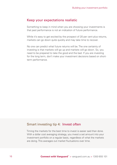### Keep your expectations realistic

Something to keep in mind when you are choosing your investments is that past performance is not an indication of future performance.

While it's easy to get excited by the prospect of 20 per cent plus returns, markets can go down quite quickly and may take time to recover.

No one can predict what future returns will be. The one certainty of investing is that markets will go up and markets will go down. So, you need to be prepared to take the good and the bad. If you are investing for the long term, don't make your investment decisions based on shortterm performance.

### Smart investing tip 4: Invest often

Timing the markets for the best time to invest is easier said than done. With a dollar cost averaging strategy, you invest a set amount into your investment portfolio on a regular basis, regardless of what the markets are doing. This averages out market fluctuations over time.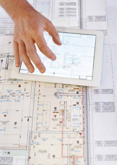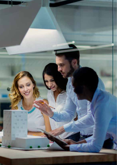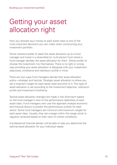## Getting your asset allocation right

How you allocate your money to each asset class is one of the most important decisions you can make when constructing your investment portfolio.

Some investors prefer to leave the asset allocation up to a fund manager and invest in a diversified (or multi-sector) fund where a fund manager decides the asset allocation for them. Others prefer to choose the investment mix themselves. There is no right or wrong way providing your asset allocation is designed with your investment objectives, timeframe and risk/return profile in mind.

There are two ways fund managers decide their asset allocation policy—strategic and tactical. Strategic asset allocation is where you set a long-term target for each asset class and stick to it. This type of asset allocation is set according to the investment objective, risk/return profile and investment timeframe.

Tactical asset allocation changes are made in the short-term based on the fund manager's view of the performance relativities of each asset class. Fund managers who use this approach analyse economic and financial factors to predict the performance outlook for each sector. Some fund managers set minimum and maximum ranges for each asset class. Usually, they set a target within this range which is regularly reviewed based on their view of market conditions.

A professional financial adviser will be able to help you determine the optimal asset allocation for your individual needs.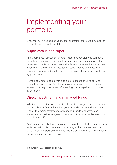## Implementing your portfolio

Once you have decided on your asset allocation, there are a number of different ways to implement it.

### Super versus non super

Apart from asset allocation, another important decision you will need to make is the investment vehicle you choose. For people saving for retirement, the tax concessions available in super make it an attractive investment vehicle. Paying less tax on contributions and investment earnings can make a big difference to the value of your retirement nest egg over time.

Remember, most people won't be able to access their super until at least the age of 65<sup>1</sup>. So, if you have other investment objectives in mind you might be better off investing in managed funds or other investments.

## Direct investment and managed funds

Whether you decide to invest directly or via managed funds depends on a number of factors including your time, discipline and confidence. One of the major advantages of managed funds is that you can access a much wider range of investments than you can by investing directly yourself.

An Australian equity fund, for example, might have 100 or more shares in its portfolio. This compares to an average of six shares held in a direct investor's portfolio. You also get the benefit of your money being professionally managed for you.

<sup>1</sup> Source: www.superguide.com.au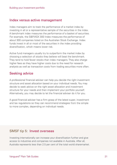### Index versus active management

Index managers aim to track the performance of a market index by investing in all or a representative sample of the securities in the index. A benchmark index measures the performance of a basket of securities. For example, the S&P/ASX 300 Index measures the performance of about 300 companies listed on the Australian Stock Exchange. Index funds invest in all or most of the securities in the index providing diversification, which means lower risk.

Active fund managers usually try to outperform the market index by choosing a selection of stocks they believe will beat the benchmark. They tend to hold fewer stocks than index managers. They also charge higher fees as they have higher costs due to the need for research analysts as well as transaction costs from trading securities more often.

### Seeking advice

A professional financial adviser can help you decide the right investment structure and asset allocation based on your individual needs. You may decide to seek advice on the right asset allocation and investment structure for your needs and then implement your portfolio yourself. Alternatively, you may decide to let the financial adviser do it for you.

A good financial adviser has a firm grasp of the latest super, investment and tax regulations so they can recommend strategies from the simple to more complex, depending on individual needs.

### SMSF tip 5: Invest overseas

Investing internationally can increase your diversification further and give access to industries and companies not available in Australia. After all, Australia represents less than 2.5 per cent of the total world sharemarket.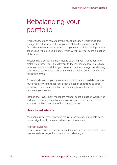## Rebalancing your portfolio

Market fluctuations can affect your asset allocation weightings and change the risk/return profile of your portfolio. For example, if the Australian sharemarket performs strongly your portfolio holdings in this asset class will be valued higher, which will throw your asset allocation off balance.

Rebalancing a portfolio simply means adjusting your investments to match your target mix. It is different to tactical asset allocation, which represents an actual shift in your asset allocation strategy. Rebalancing back to your target asset mix brings your portfolio back in line with its risk/return profile.

On establishment of your investment portfolio you should decide how much you are willing to let your asset allocation shift from its target allocation. Once your allocation hits this trigger point you will need to rebalance your assets.

Professional investment managers monitor asset allocation weightings and reset them regularly. For example, Vanguard maintains its asset allocation within 2 per cent of its strategic targets.

## How to rebalance

You should review your portfolio regularly, particularly if markets have moved significantly. You can rebalance in three ways:

### Reinvest dividends

Direct dividends and/or capital gains distributions from the asset sector that exceeds its target into one that is underweight.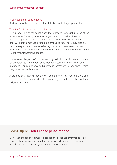#### Make additional contributions

Add funds to the asset sector that falls below its target percentage.

### Transfer funds between asset classes

Shift money out of the asset class that exceeds its target into the other investments. When you rebalance you need to consider the costs and tax implications. In most cases you will have brokerage costs and, with some managed funds, an entry/exit fee. There may also be tax consequences when transferring funds between asset classes. Sometimes it is more tax effective to use new cashflow or distributions rather than transferring assets.

If you have a large portfolio, redirecting cash flow or dividends may not be sufficient to bring your asset allocation back into balance. In such instances, you might have to liquidate investments to rebalance, which may have tax implications.

A professional financial adviser will be able to review your portfolio and ensure that it's rebalanced back to your target asset mix in line with its risk/return profile.

### SMSF tip 6: Don't chase performance

Don't just choose investments because their recent performance looks good or they promise substantial tax breaks. Make sure the investments you choose are aligned to your investment objectives.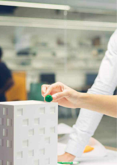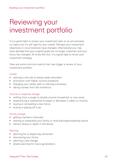## Reviewing your investment portfolio

It is a good habit to review your investment plan on an annual basis to make sure it's still right for your needs. Perhaps your investment objectives or circumstances have changed. Alternatively you may have decided that your original goals are no longer important and your focus has changed. At times like this, it's a good idea to revisit your investment strategy.

Here are some common events that may trigger a review of your investment portfolio.

### **Career**

- starting a new job or being made redundant
- promotion with higher income prospects
- changing your career path or starting a business
- taking a break from the workforce.

#### Income or expense change

- shifting from a single to double income household, or vice versa
- experiencing a substantial increase or decrease in salary or income
- buying or renovating a new home
- buying or paying off a car.

#### Family change

- getting married or divorced
- starting or expanding your family or child starting/completing school
- serious illness or death in the family.

### **Retiring**

- planning for or beginning retirement
- downsizing your home
- planning a sea change
- estate planning for future generations.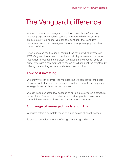## The Vanguard difference

When you invest with Vanguard, you have more than 40 years of investing experience behind you. So no matter which investment products suit your needs, you can feel confident that Vanguard investments are built on a rigorous investment philosophy that stands the test of time.

Since launching the first index mutual fund for individual investors in 1976, Vanguard has strived to be the world's highest-value provider of investment products and services. We have an unwavering focus on our clients with a commitment to champion what's best for investors by offering outstanding service, while keeping costs low.

## Low-cost investing

We know we can't control the markets, but we can control the costs of investing. To that end, providing low-cost investments isn't a pricing strategy for us. It's how we do business.

We can keep our costs low because of our unique ownership structure in the United States, which allows us to return profits to investors through lower costs so investors can earn more over time.

## Our range of managed funds and ETFs

Vanguard offers a complete range of funds across all asset classes.

To see our complete product offerings, visit vanguard.com.au.